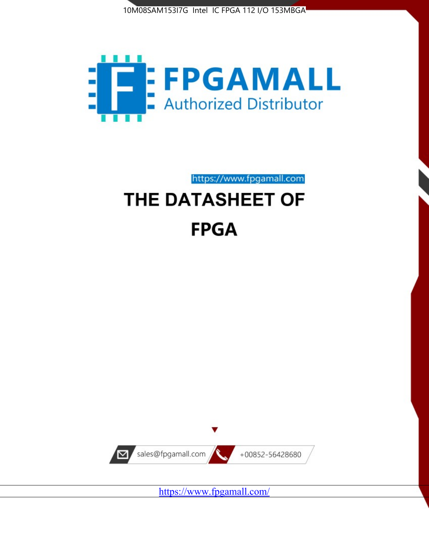



https://www.fpgamall.com

# THE DATASHEET OF **FPGA**



<https://www.fpgamall.com/>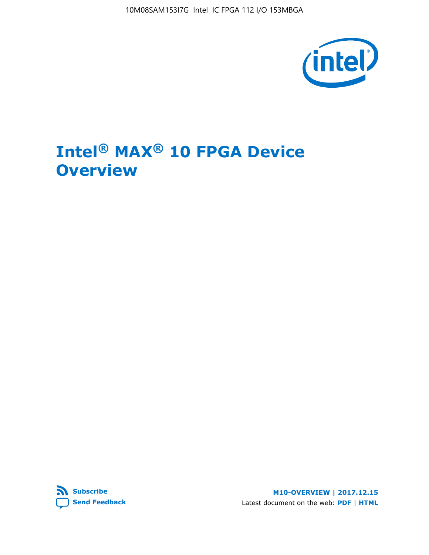10M08SAM153I7G Intel IC FPGA 112 I/O 153MBGA



# **Intel® MAX® 10 FPGA Device Overview**



**M10-OVERVIEW | 2017.12.15** Latest document on the web: **[PDF](https://www.altera.com/en_US/pdfs/literature/hb/max-10/m10_overview.pdf)** | **[HTML](https://www.altera.com/documentation/myt1396938463674.html)**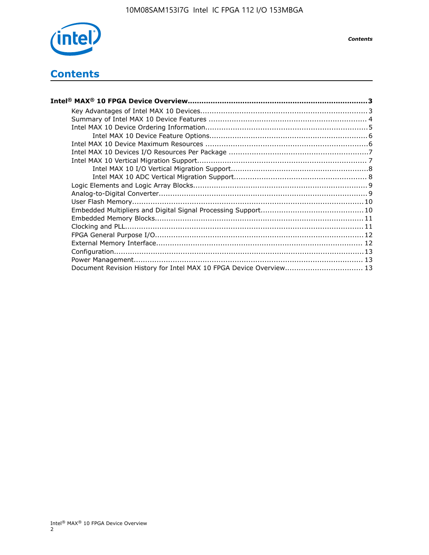

*Contents*

# **Contents**

| Intel® MAX® 10 FPGA Device Overview…………………………………………………………………………………………3 |  |
|------------------------------------------------------------------------|--|
|                                                                        |  |
|                                                                        |  |
|                                                                        |  |
|                                                                        |  |
|                                                                        |  |
|                                                                        |  |
|                                                                        |  |
|                                                                        |  |
|                                                                        |  |
|                                                                        |  |
|                                                                        |  |
|                                                                        |  |
|                                                                        |  |
|                                                                        |  |
|                                                                        |  |
|                                                                        |  |
|                                                                        |  |
|                                                                        |  |
|                                                                        |  |
| Document Revision History for Intel MAX 10 FPGA Device Overview 13     |  |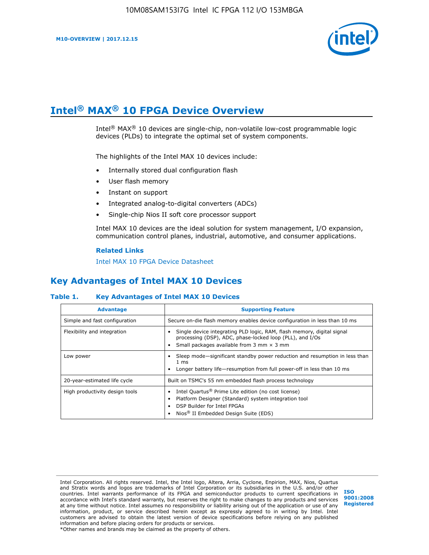

# **Intel® MAX® 10 FPGA Device Overview**

Intel® MAX® 10 devices are single-chip, non-volatile low-cost programmable logic devices (PLDs) to integrate the optimal set of system components.

The highlights of the Intel MAX 10 devices include:

- Internally stored dual configuration flash
- User flash memory
- Instant on support
- Integrated analog-to-digital converters (ADCs)
- Single-chip Nios II soft core processor support

Intel MAX 10 devices are the ideal solution for system management, I/O expansion, communication control planes, industrial, automotive, and consumer applications.

#### **Related Links**

[Intel MAX 10 FPGA Device Datasheet](https://www.altera.com/documentation/mcn1397700832153.html#mcn1397643748870)

# **Key Advantages of Intel MAX 10 Devices**

## **Table 1. Key Advantages of Intel MAX 10 Devices**

| <b>Advantage</b>               | <b>Supporting Feature</b>                                                                                                                                                                                  |  |  |
|--------------------------------|------------------------------------------------------------------------------------------------------------------------------------------------------------------------------------------------------------|--|--|
| Simple and fast configuration  | Secure on-die flash memory enables device configuration in less than 10 ms                                                                                                                                 |  |  |
| Flexibility and integration    | Single device integrating PLD logic, RAM, flash memory, digital signal<br>processing (DSP), ADC, phase-locked loop (PLL), and I/Os<br>Small packages available from 3 mm $\times$ 3 mm                     |  |  |
| Low power                      | Sleep mode—significant standby power reduction and resumption in less than<br>$1 \text{ ms}$<br>Longer battery life—resumption from full power-off in less than 10 ms                                      |  |  |
| 20-year-estimated life cycle   | Built on TSMC's 55 nm embedded flash process technology                                                                                                                                                    |  |  |
| High productivity design tools | Intel Quartus <sup>®</sup> Prime Lite edition (no cost license)<br>Platform Designer (Standard) system integration tool<br>DSP Builder for Intel FPGAs<br>Nios <sup>®</sup> II Embedded Design Suite (EDS) |  |  |

Intel Corporation. All rights reserved. Intel, the Intel logo, Altera, Arria, Cyclone, Enpirion, MAX, Nios, Quartus and Stratix words and logos are trademarks of Intel Corporation or its subsidiaries in the U.S. and/or other countries. Intel warrants performance of its FPGA and semiconductor products to current specifications in accordance with Intel's standard warranty, but reserves the right to make changes to any products and services at any time without notice. Intel assumes no responsibility or liability arising out of the application or use of any information, product, or service described herein except as expressly agreed to in writing by Intel. Intel customers are advised to obtain the latest version of device specifications before relying on any published information and before placing orders for products or services. \*Other names and brands may be claimed as the property of others.

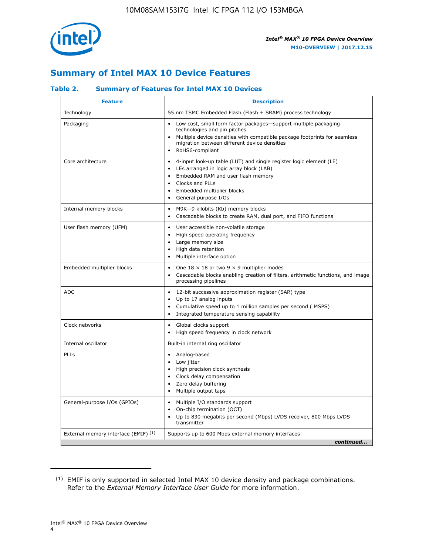

# **Summary of Intel MAX 10 Device Features**

## **Table 2. Summary of Features for Intel MAX 10 Devices**

| <b>Feature</b>                       | <b>Description</b>                                                                                                                                                                                                                                                                                         |
|--------------------------------------|------------------------------------------------------------------------------------------------------------------------------------------------------------------------------------------------------------------------------------------------------------------------------------------------------------|
| Technology                           | 55 nm TSMC Embedded Flash (Flash + SRAM) process technology                                                                                                                                                                                                                                                |
| Packaging                            | Low cost, small form factor packages-support multiple packaging<br>technologies and pin pitches<br>Multiple device densities with compatible package footprints for seamless<br>migration between different device densities<br>RoHS6-compliant                                                            |
| Core architecture                    | 4-input look-up table (LUT) and single register logic element (LE)<br>$\bullet$<br>LEs arranged in logic array block (LAB)<br>$\bullet$<br>Embedded RAM and user flash memory<br>$\bullet$<br>Clocks and PLLs<br>$\bullet$<br>Embedded multiplier blocks<br>$\bullet$<br>General purpose I/Os<br>$\bullet$ |
| Internal memory blocks               | M9K-9 kilobits (Kb) memory blocks<br>$\bullet$<br>Cascadable blocks to create RAM, dual port, and FIFO functions<br>$\bullet$                                                                                                                                                                              |
| User flash memory (UFM)              | User accessible non-volatile storage<br>$\bullet$<br>High speed operating frequency<br>$\bullet$<br>Large memory size<br>High data retention<br>$\bullet$<br>Multiple interface option                                                                                                                     |
| Embedded multiplier blocks           | One $18 \times 18$ or two 9 $\times$ 9 multiplier modes<br>$\bullet$<br>Cascadable blocks enabling creation of filters, arithmetic functions, and image<br>processing pipelines                                                                                                                            |
| <b>ADC</b>                           | 12-bit successive approximation register (SAR) type<br>$\bullet$<br>Up to 17 analog inputs<br>$\bullet$<br>Cumulative speed up to 1 million samples per second (MSPS)<br>Integrated temperature sensing capability<br>$\bullet$                                                                            |
| Clock networks                       | Global clocks support<br>$\bullet$<br>High speed frequency in clock network                                                                                                                                                                                                                                |
| Internal oscillator                  | Built-in internal ring oscillator                                                                                                                                                                                                                                                                          |
| PLLs                                 | • Analog-based<br>Low jitter<br>$\bullet$<br>High precision clock synthesis<br>$\bullet$<br>Clock delay compensation<br>$\bullet$<br>Zero delay buffering<br>$\bullet$<br>Multiple output taps<br>$\bullet$                                                                                                |
| General-purpose I/Os (GPIOs)         | • Multiple I/O standards support<br>On-chip termination (OCT)<br>$\bullet$<br>Up to 830 megabits per second (Mbps) LVDS receiver, 800 Mbps LVDS<br>transmitter                                                                                                                                             |
| External memory interface (EMIF) (1) | Supports up to 600 Mbps external memory interfaces:<br>continued                                                                                                                                                                                                                                           |

<sup>(1)</sup> EMIF is only supported in selected Intel MAX 10 device density and package combinations. Refer to the *External Memory Interface User Guide* for more information.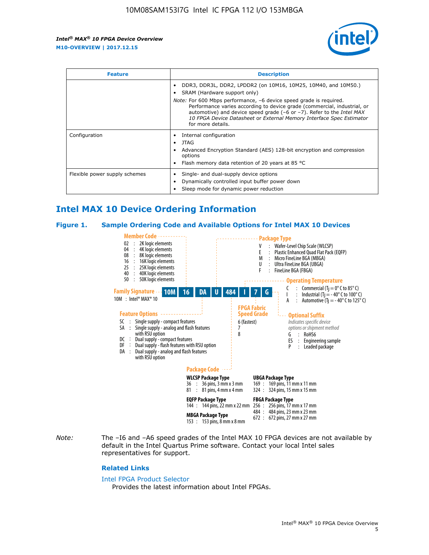

| <b>Feature</b>                | <b>Description</b>                                                                                                                                                                                                                                                                                                                                                                                                                               |  |  |  |
|-------------------------------|--------------------------------------------------------------------------------------------------------------------------------------------------------------------------------------------------------------------------------------------------------------------------------------------------------------------------------------------------------------------------------------------------------------------------------------------------|--|--|--|
|                               | DDR3, DDR3L, DDR2, LPDDR2 (on 10M16, 10M25, 10M40, and 10M50.)<br>SRAM (Hardware support only)<br><i>Note:</i> For 600 Mbps performance, -6 device speed grade is required.<br>Performance varies according to device grade (commercial, industrial, or<br>automotive) and device speed grade $(-6 \text{ or } -7)$ . Refer to the <i>Intel MAX</i><br>10 FPGA Device Datasheet or External Memory Interface Spec Estimator<br>for more details. |  |  |  |
| Configuration                 | Internal configuration<br>JTAG<br>٠<br>Advanced Encryption Standard (AES) 128-bit encryption and compression<br>options<br>Flash memory data retention of 20 years at 85 $^{\circ}$ C                                                                                                                                                                                                                                                            |  |  |  |
| Flexible power supply schemes | Single- and dual-supply device options<br>Dynamically controlled input buffer power down<br>Sleep mode for dynamic power reduction                                                                                                                                                                                                                                                                                                               |  |  |  |

# **Intel MAX 10 Device Ordering Information**

#### **Figure 1. Sample Ordering Code and Available Options for Intel MAX 10 Devices**



*Note:* The –I6 and –A6 speed grades of the Intel MAX 10 FPGA devices are not available by default in the Intel Quartus Prime software. Contact your local Intel sales representatives for support.

#### **Related Links**

#### [Intel FPGA Product Selector](http://www.altera.com/products/selector/psg-selector.html)

Provides the latest information about Intel FPGAs.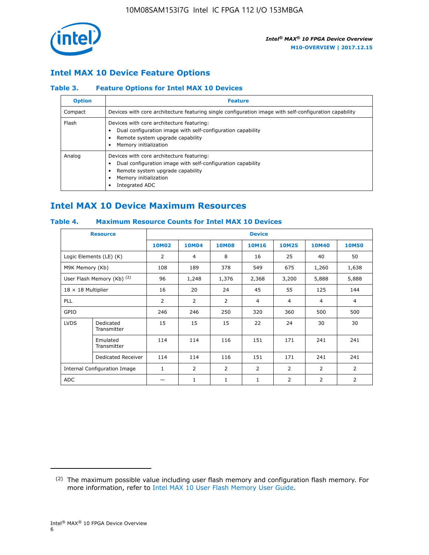

## **Intel MAX 10 Device Feature Options**

## **Table 3. Feature Options for Intel MAX 10 Devices**

| <b>Option</b> | <b>Feature</b>                                                                                                                                                                          |
|---------------|-----------------------------------------------------------------------------------------------------------------------------------------------------------------------------------------|
| Compact       | Devices with core architecture featuring single configuration image with self-configuration capability                                                                                  |
| Flash         | Devices with core architecture featuring:<br>Dual configuration image with self-configuration capability<br>Remote system upgrade capability<br>Memory initialization                   |
| Analog        | Devices with core architecture featuring:<br>Dual configuration image with self-configuration capability<br>Remote system upgrade capability<br>Memory initialization<br>Integrated ADC |

# **Intel MAX 10 Device Maximum Resources**

## **Table 4. Maximum Resource Counts for Intel MAX 10 Devices**

| <b>Resource</b>              |                            | <b>Device</b> |                |                |                |                |                |                |
|------------------------------|----------------------------|---------------|----------------|----------------|----------------|----------------|----------------|----------------|
|                              |                            | <b>10M02</b>  | 10M04          | <b>10M08</b>   | <b>10M16</b>   | <b>10M25</b>   | <b>10M40</b>   | <b>10M50</b>   |
|                              | Logic Elements (LE) (K)    | 2             | 4              | 8              | 16             | 25             | 40             | 50             |
| M9K Memory (Kb)              |                            | 108           | 189            | 378            | 549            | 675            | 1,260          | 1,638          |
|                              | User Flash Memory (Kb) (2) | 96            | 1,248          | 1,376          | 2,368          | 3,200          | 5,888          | 5,888          |
| $18 \times 18$ Multiplier    |                            | 16            | 20             | 24             | 45             | 55             | 125            | 144            |
| <b>PLL</b>                   |                            | 2             | $\overline{2}$ | $\overline{2}$ | 4              | $\overline{4}$ | 4              | $\overline{4}$ |
| GPIO                         |                            | 246           | 246            | 250            | 320            | 360            | 500            | 500            |
| <b>LVDS</b>                  | Dedicated<br>Transmitter   | 15            | 15             | 15             | 22             | 24             | 30             | 30             |
|                              | Emulated<br>Transmitter    | 114           | 114            | 116            | 151            | 171            | 241            | 241            |
|                              | Dedicated Receiver         | 114           | 114            | 116            | 151            | 171            | 241            | 241            |
| Internal Configuration Image |                            | $\mathbf{1}$  | $\overline{2}$ | $\overline{2}$ | $\overline{2}$ | 2              | $\overline{2}$ | $\overline{2}$ |
| <b>ADC</b>                   |                            |               | 1              | $\mathbf{1}$   | $\mathbf{1}$   | 2              | 2              | 2              |

<sup>(2)</sup> The maximum possible value including user flash memory and configuration flash memory. For more information, refer to [Intel MAX 10 User Flash Memory User Guide](https://www.altera.com/documentation/vgo1395753117436.html#vgo1395811844282).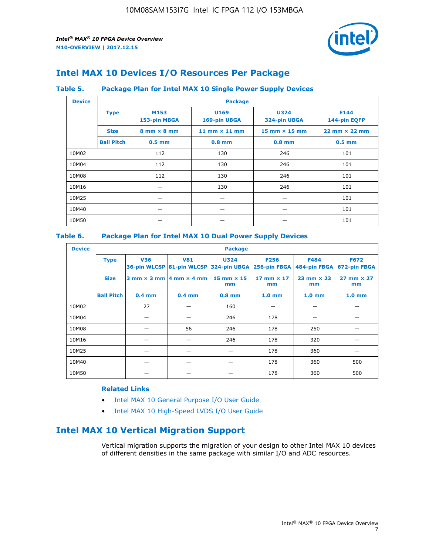

# **Intel MAX 10 Devices I/O Resources Per Package**

### **Table 5. Package Plan for Intel MAX 10 Single Power Supply Devices**

| <b>Device</b> |                   | <b>Package</b>                     |                      |                                      |                                      |  |  |  |
|---------------|-------------------|------------------------------------|----------------------|--------------------------------------|--------------------------------------|--|--|--|
|               | <b>Type</b>       | M153<br>153-pin MBGA               | U169<br>169-pin UBGA | <b>U324</b><br>324-pin UBGA          | E144<br>144-pin EQFP                 |  |  |  |
|               | <b>Size</b>       | $8 \text{ mm} \times 8 \text{ mm}$ | 11 mm $\times$ 11 mm | $15 \text{ mm} \times 15 \text{ mm}$ | $22 \text{ mm} \times 22 \text{ mm}$ |  |  |  |
|               | <b>Ball Pitch</b> | $0.5$ mm                           | $0.8$ mm             | $0.8$ mm                             | $0.5$ mm                             |  |  |  |
| 10M02         |                   | 112                                | 130                  | 246                                  | 101                                  |  |  |  |
| 10M04         |                   | 112                                | 130                  | 246                                  | 101                                  |  |  |  |
| 10M08         |                   | 112                                | 130                  | 246                                  | 101                                  |  |  |  |
| 10M16         |                   |                                    | 130                  | 246                                  | 101                                  |  |  |  |
| 10M25         |                   |                                    |                      |                                      | 101                                  |  |  |  |
| 10M40         |                   |                                    |                      |                                      | 101                                  |  |  |  |
| 10M50         |                   |                                    |                      |                                      | 101                                  |  |  |  |

## **Table 6. Package Plan for Intel MAX 10 Dual Power Supply Devices**

| <b>Device</b> |                   | <b>Package</b> |                                            |                                                                    |                         |                           |                             |  |  |
|---------------|-------------------|----------------|--------------------------------------------|--------------------------------------------------------------------|-------------------------|---------------------------|-----------------------------|--|--|
|               | <b>Type</b>       | <b>V36</b>     | <b>V81</b>                                 | <b>U324</b><br>36-pin WLCSP 81-pin WLCSP 324-pin UBGA 256-pin FBGA | <b>F256</b>             | F484<br>484-pin FBGA      | <b>F672</b><br>672-pin FBGA |  |  |
|               | <b>Size</b>       |                | $3$ mm $\times$ 3 mm $ 4$ mm $\times$ 4 mm | $15$ mm $\times$ 15<br>mm                                          | 17 mm $\times$ 17<br>mm | $23$ mm $\times$ 23<br>mm | $27$ mm $\times$ 27<br>mm   |  |  |
|               | <b>Ball Pitch</b> | $0.4$ mm       | $0.4$ mm                                   | $0.8$ mm                                                           | 1.0 <sub>mm</sub>       | 1.0 <sub>mm</sub>         | 1.0 <sub>mm</sub>           |  |  |
| 10M02         |                   | 27             |                                            | 160                                                                |                         |                           |                             |  |  |
| 10M04         |                   |                |                                            | 246                                                                | 178                     |                           |                             |  |  |
| 10M08         |                   |                | 56                                         | 246                                                                | 178                     | 250                       |                             |  |  |
| 10M16         |                   |                |                                            | 246                                                                | 178                     | 320                       |                             |  |  |
| 10M25         |                   |                |                                            |                                                                    | 178                     | 360                       |                             |  |  |
| 10M40         |                   |                |                                            |                                                                    | 178                     | 360                       | 500                         |  |  |
| 10M50         |                   |                |                                            |                                                                    | 178                     | 360                       | 500                         |  |  |

## **Related Links**

- [Intel MAX 10 General Purpose I/O User Guide](https://www.altera.com/documentation/sam1393999966669.html#sam1394000084476)
- [Intel MAX 10 High-Speed LVDS I/O User Guide](https://www.altera.com/documentation/sam1394433606063.html#sam1394433911642)

# **Intel MAX 10 Vertical Migration Support**

Vertical migration supports the migration of your design to other Intel MAX 10 devices of different densities in the same package with similar I/O and ADC resources.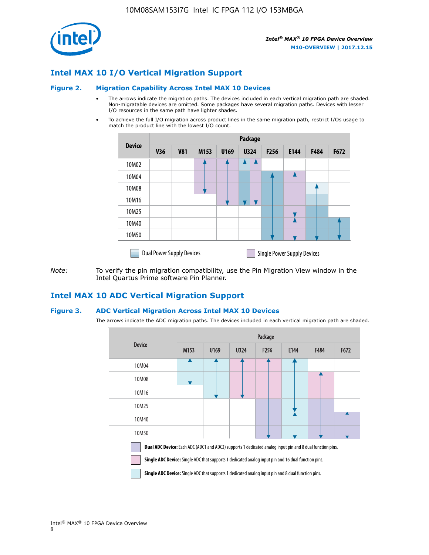

## **Intel MAX 10 I/O Vertical Migration Support**

#### **Figure 2. Migration Capability Across Intel MAX 10 Devices**

- The arrows indicate the migration paths. The devices included in each vertical migration path are shaded. Non-migratable devices are omitted. Some packages have several migration paths. Devices with lesser I/O resources in the same path have lighter shades.
- To achieve the full I/O migration across product lines in the same migration path, restrict I/Os usage to match the product line with the lowest I/O count.

|               | Package                          |            |      |      |             |      |                                    |      |      |  |
|---------------|----------------------------------|------------|------|------|-------------|------|------------------------------------|------|------|--|
| <b>Device</b> | <b>V36</b>                       | <b>V81</b> | M153 | U169 | <b>U324</b> | F256 | E144                               | F484 | F672 |  |
| 10M02         |                                  |            |      |      | 7           |      |                                    |      |      |  |
| 10M04         |                                  |            |      |      |             |      |                                    |      |      |  |
| 10M08         |                                  |            |      |      |             |      |                                    |      |      |  |
| 10M16         |                                  |            |      |      |             |      |                                    |      |      |  |
| 10M25         |                                  |            |      |      |             |      |                                    |      |      |  |
| 10M40         |                                  |            |      |      |             |      |                                    |      |      |  |
| 10M50         |                                  |            |      |      |             |      |                                    |      |      |  |
|               | <b>Dual Power Supply Devices</b> |            |      |      |             |      | <b>Single Power Supply Devices</b> |      |      |  |

*Note:* To verify the pin migration compatibility, use the Pin Migration View window in the Intel Quartus Prime software Pin Planner.

## **Intel MAX 10 ADC Vertical Migration Support**

#### **Figure 3. ADC Vertical Migration Across Intel MAX 10 Devices**

The arrows indicate the ADC migration paths. The devices included in each vertical migration path are shaded.

|                                                                                                                                                                                                                         | Package          |      |      |                  |      |             |      |  |
|-------------------------------------------------------------------------------------------------------------------------------------------------------------------------------------------------------------------------|------------------|------|------|------------------|------|-------------|------|--|
| <b>Device</b>                                                                                                                                                                                                           | M <sub>153</sub> | U169 | U324 | F <sub>256</sub> | E144 | <b>F484</b> | F672 |  |
| 10M04                                                                                                                                                                                                                   |                  |      |      |                  |      |             |      |  |
| 10M08                                                                                                                                                                                                                   |                  |      |      |                  |      |             |      |  |
| 10M16                                                                                                                                                                                                                   |                  |      |      |                  |      |             |      |  |
| 10M25                                                                                                                                                                                                                   |                  |      |      |                  |      |             |      |  |
| 10M40                                                                                                                                                                                                                   |                  |      |      |                  |      |             |      |  |
| 10M50                                                                                                                                                                                                                   |                  |      |      |                  |      |             |      |  |
| <b>Dual ADC Device:</b> Each ADC (ADC1 and ADC2) supports 1 dedicated analog input pin and 8 dual function pins.<br>Single ADC Device: Single ADC that supports 1 dedicated analog input pin and 16 dual function pins. |                  |      |      |                  |      |             |      |  |

**Single ADC Device:** Single ADC that supports 1 dedicated analog input pin and 8 dual function pins.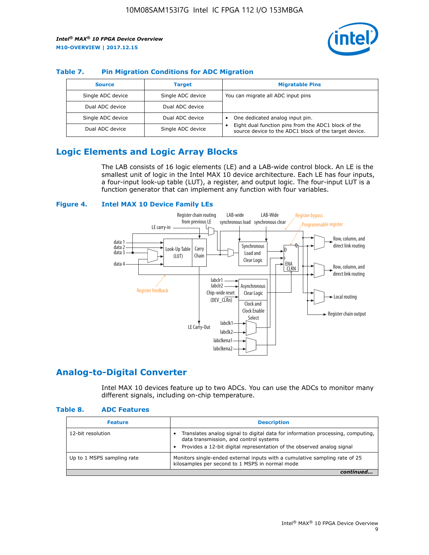

## **Table 7. Pin Migration Conditions for ADC Migration**

| <b>Source</b>     | <b>Target</b>     | <b>Migratable Pins</b>                                                                                            |
|-------------------|-------------------|-------------------------------------------------------------------------------------------------------------------|
| Single ADC device | Single ADC device | You can migrate all ADC input pins                                                                                |
| Dual ADC device   | Dual ADC device   |                                                                                                                   |
| Single ADC device | Dual ADC device   | One dedicated analog input pin.                                                                                   |
| Dual ADC device   | Single ADC device | Eight dual function pins from the ADC1 block of the<br>٠<br>source device to the ADC1 block of the target device. |

# **Logic Elements and Logic Array Blocks**

The LAB consists of 16 logic elements (LE) and a LAB-wide control block. An LE is the smallest unit of logic in the Intel MAX 10 device architecture. Each LE has four inputs, a four-input look-up table (LUT), a register, and output logic. The four-input LUT is a function generator that can implement any function with four variables.

#### **Figure 4. Intel MAX 10 Device Family LEs**



## **Analog-to-Digital Converter**

Intel MAX 10 devices feature up to two ADCs. You can use the ADCs to monitor many different signals, including on-chip temperature.

#### **Table 8. ADC Features**

| <b>Feature</b>             | <b>Description</b>                                                                                                                                                                                  |
|----------------------------|-----------------------------------------------------------------------------------------------------------------------------------------------------------------------------------------------------|
| 12-bit resolution          | Translates analog signal to digital data for information processing, computing,<br>data transmission, and control systems<br>Provides a 12-bit digital representation of the observed analog signal |
| Up to 1 MSPS sampling rate | Monitors single-ended external inputs with a cumulative sampling rate of 25<br>kilosamples per second to 1 MSPS in normal mode                                                                      |
|                            |                                                                                                                                                                                                     |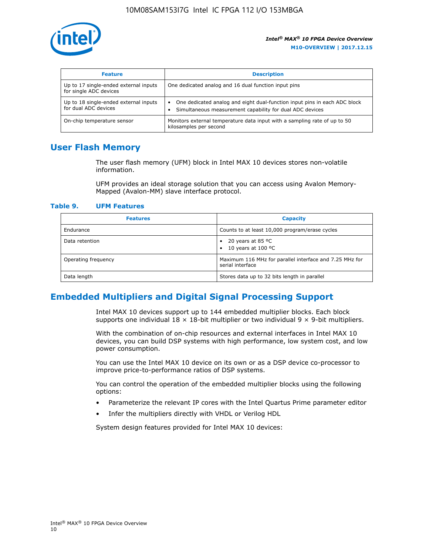

| <b>Feature</b>                                                  | <b>Description</b>                                                                                                                         |
|-----------------------------------------------------------------|--------------------------------------------------------------------------------------------------------------------------------------------|
| Up to 17 single-ended external inputs<br>for single ADC devices | One dedicated analog and 16 dual function input pins                                                                                       |
| Up to 18 single-ended external inputs<br>for dual ADC devices   | One dedicated analog and eight dual-function input pins in each ADC block<br>٠<br>Simultaneous measurement capability for dual ADC devices |
| On-chip temperature sensor                                      | Monitors external temperature data input with a sampling rate of up to 50<br>kilosamples per second                                        |

# **User Flash Memory**

The user flash memory (UFM) block in Intel MAX 10 devices stores non-volatile information.

UFM provides an ideal storage solution that you can access using Avalon Memory-Mapped (Avalon-MM) slave interface protocol.

#### **Table 9. UFM Features**

| <b>Features</b>     | <b>Capacity</b>                                                             |
|---------------------|-----------------------------------------------------------------------------|
| Endurance           | Counts to at least 10,000 program/erase cycles                              |
| Data retention      | 20 years at 85 $^{\circ}$ C<br>٠<br>10 years at 100 °C<br>$\bullet$         |
| Operating frequency | Maximum 116 MHz for parallel interface and 7.25 MHz for<br>serial interface |
| Data length         | Stores data up to 32 bits length in parallel                                |

# **Embedded Multipliers and Digital Signal Processing Support**

Intel MAX 10 devices support up to 144 embedded multiplier blocks. Each block supports one individual  $18 \times 18$ -bit multiplier or two individual  $9 \times 9$ -bit multipliers.

With the combination of on-chip resources and external interfaces in Intel MAX 10 devices, you can build DSP systems with high performance, low system cost, and low power consumption.

You can use the Intel MAX 10 device on its own or as a DSP device co-processor to improve price-to-performance ratios of DSP systems.

You can control the operation of the embedded multiplier blocks using the following options:

- Parameterize the relevant IP cores with the Intel Quartus Prime parameter editor
- Infer the multipliers directly with VHDL or Verilog HDL

System design features provided for Intel MAX 10 devices: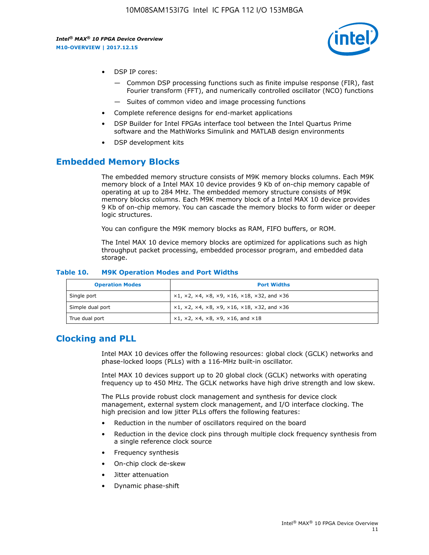

- DSP IP cores:
	- Common DSP processing functions such as finite impulse response (FIR), fast Fourier transform (FFT), and numerically controlled oscillator (NCO) functions
	- Suites of common video and image processing functions
- Complete reference designs for end-market applications
- DSP Builder for Intel FPGAs interface tool between the Intel Quartus Prime software and the MathWorks Simulink and MATLAB design environments
- DSP development kits

## **Embedded Memory Blocks**

The embedded memory structure consists of M9K memory blocks columns. Each M9K memory block of a Intel MAX 10 device provides 9 Kb of on-chip memory capable of operating at up to 284 MHz. The embedded memory structure consists of M9K memory blocks columns. Each M9K memory block of a Intel MAX 10 device provides 9 Kb of on-chip memory. You can cascade the memory blocks to form wider or deeper logic structures.

You can configure the M9K memory blocks as RAM, FIFO buffers, or ROM.

The Intel MAX 10 device memory blocks are optimized for applications such as high throughput packet processing, embedded processor program, and embedded data storage.

| <b>Operation Modes</b> | <b>Port Widths</b>                                                            |
|------------------------|-------------------------------------------------------------------------------|
| Single port            | $x1, x2, x4, x8, x9, x16, x18, x32, and x36$                                  |
| Simple dual port       | $x1, x2, x4, x8, x9, x16, x18, x32, and x36$                                  |
| True dual port         | $\times1, \times2, \times4, \times8, \times9, \times16, \text{and } \times18$ |

#### **Table 10. M9K Operation Modes and Port Widths**

# **Clocking and PLL**

Intel MAX 10 devices offer the following resources: global clock (GCLK) networks and phase-locked loops (PLLs) with a 116-MHz built-in oscillator.

Intel MAX 10 devices support up to 20 global clock (GCLK) networks with operating frequency up to 450 MHz. The GCLK networks have high drive strength and low skew.

The PLLs provide robust clock management and synthesis for device clock management, external system clock management, and I/O interface clocking. The high precision and low jitter PLLs offers the following features:

- Reduction in the number of oscillators required on the board
- Reduction in the device clock pins through multiple clock frequency synthesis from a single reference clock source
- Frequency synthesis
- On-chip clock de-skew
- Jitter attenuation
- Dynamic phase-shift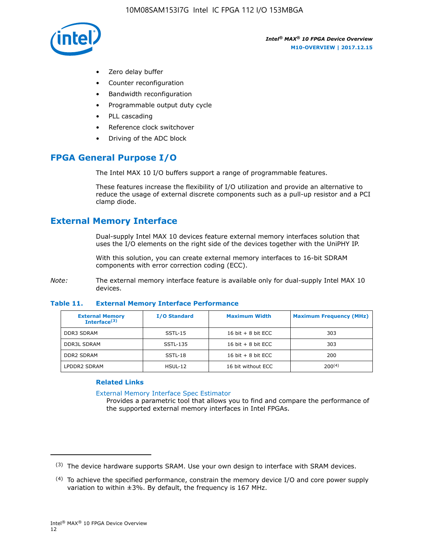

- Zero delay buffer
- Counter reconfiguration
- Bandwidth reconfiguration
- Programmable output duty cycle
- PLL cascading
- Reference clock switchover
- Driving of the ADC block

# **FPGA General Purpose I/O**

The Intel MAX 10 I/O buffers support a range of programmable features.

These features increase the flexibility of I/O utilization and provide an alternative to reduce the usage of external discrete components such as a pull-up resistor and a PCI clamp diode.

# **External Memory Interface**

Dual-supply Intel MAX 10 devices feature external memory interfaces solution that uses the I/O elements on the right side of the devices together with the UniPHY IP.

With this solution, you can create external memory interfaces to 16-bit SDRAM components with error correction coding (ECC).

*Note:* The external memory interface feature is available only for dual-supply Intel MAX 10 devices.

#### **Table 11. External Memory Interface Performance**

| <b>External Memory</b><br>Interface $(3)$ | <b>I/O Standard</b> | <b>Maximum Width</b> | <b>Maximum Frequency (MHz)</b> |
|-------------------------------------------|---------------------|----------------------|--------------------------------|
| <b>DDR3 SDRAM</b>                         | SSTL-15             | 16 bit $+8$ bit ECC  | 303                            |
| <b>DDR3L SDRAM</b>                        | SSTL-135            | 16 bit $+8$ bit ECC  | 303                            |
| <b>DDR2 SDRAM</b>                         | SSTL-18             | 16 bit $+8$ bit ECC  | 200                            |
| LPDDR2 SDRAM                              | $H$ SUL-12          | 16 bit without ECC   | 200(4)                         |

### **Related Links**

[External Memory Interface Spec Estimator](http://www.altera.com/technology/memory/estimator/mem-emif-index.html)

Provides a parametric tool that allows you to find and compare the performance of the supported external memory interfaces in Intel FPGAs.

 $(3)$  The device hardware supports SRAM. Use your own design to interface with SRAM devices.

 $(4)$  To achieve the specified performance, constrain the memory device I/O and core power supply variation to within ±3%. By default, the frequency is 167 MHz.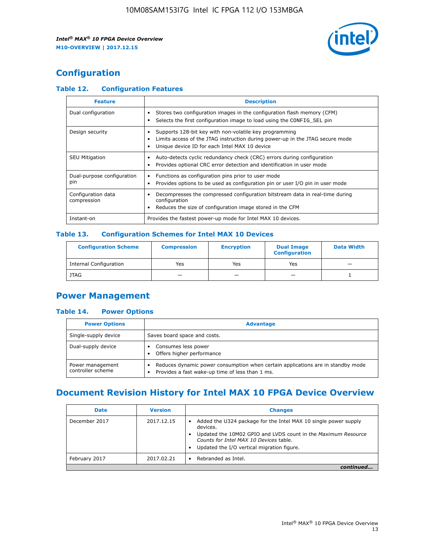

# **Configuration**

## **Table 12. Configuration Features**

| <b>Feature</b>                    | <b>Description</b>                                                                                                                                                                       |
|-----------------------------------|------------------------------------------------------------------------------------------------------------------------------------------------------------------------------------------|
| Dual configuration                | Stores two configuration images in the configuration flash memory (CFM)<br>Selects the first configuration image to load using the CONFIG SEL pin                                        |
| Design security                   | Supports 128-bit key with non-volatile key programming<br>Limits access of the JTAG instruction during power-up in the JTAG secure mode<br>Unique device ID for each Intel MAX 10 device |
| <b>SEU Mitigation</b>             | Auto-detects cyclic redundancy check (CRC) errors during configuration<br>Provides optional CRC error detection and identification in user mode                                          |
| Dual-purpose configuration<br>pin | Functions as configuration pins prior to user mode<br>Provides options to be used as configuration pin or user I/O pin in user mode                                                      |
| Configuration data<br>compression | Decompresses the compressed configuration bitstream data in real-time during<br>configuration<br>Reduces the size of configuration image stored in the CFM                               |
| Instant-on                        | Provides the fastest power-up mode for Intel MAX 10 devices.                                                                                                                             |

## **Table 13. Configuration Schemes for Intel MAX 10 Devices**

| <b>Configuration Scheme</b>   | <b>Compression</b>       | <b>Encryption</b> | <b>Dual Image</b><br><b>Configuration</b> | <b>Data Width</b> |
|-------------------------------|--------------------------|-------------------|-------------------------------------------|-------------------|
| <b>Internal Configuration</b> | Yes                      | Yes               | Yes                                       |                   |
| <b>JTAG</b>                   | $\overline{\phantom{a}}$ |                   | -                                         |                   |

## **Power Management**

## **Table 14. Power Options**

| <b>Power Options</b>                  | <b>Advantage</b>                                                                                                                   |  |
|---------------------------------------|------------------------------------------------------------------------------------------------------------------------------------|--|
| Single-supply device                  | Saves board space and costs.                                                                                                       |  |
| Dual-supply device                    | Consumes less power<br>Offers higher performance                                                                                   |  |
| Power management<br>controller scheme | Reduces dynamic power consumption when certain applications are in standby mode<br>Provides a fast wake-up time of less than 1 ms. |  |

# **Document Revision History for Intel MAX 10 FPGA Device Overview**

| <b>Date</b>   | <b>Version</b> | <b>Changes</b>                                                                                                                                                                                                                       |
|---------------|----------------|--------------------------------------------------------------------------------------------------------------------------------------------------------------------------------------------------------------------------------------|
| December 2017 | 2017.12.15     | Added the U324 package for the Intel MAX 10 single power supply<br>devices.<br>Updated the 10M02 GPIO and LVDS count in the Maximum Resource<br>Counts for Intel MAX 10 Devices table.<br>Updated the I/O vertical migration figure. |
| February 2017 | 2017.02.21     | Rebranded as Intel.                                                                                                                                                                                                                  |
|               |                |                                                                                                                                                                                                                                      |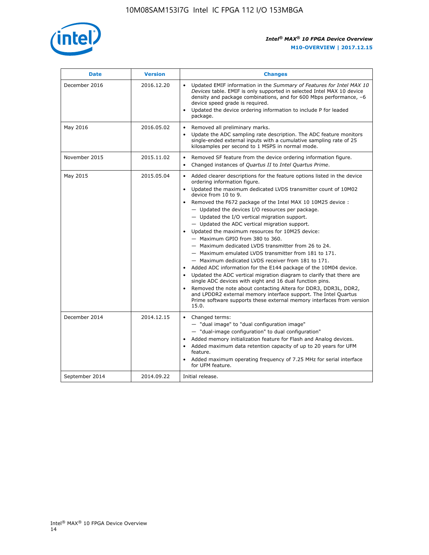

| <b>Date</b>    | <b>Version</b> | <b>Changes</b>                                                                                                                                                                                                                                                                                                                                                                                                                                                                                                                                                                                                                                                                                                                                                                                                                                                                                                                                                                                                                                                                                                                                                                     |
|----------------|----------------|------------------------------------------------------------------------------------------------------------------------------------------------------------------------------------------------------------------------------------------------------------------------------------------------------------------------------------------------------------------------------------------------------------------------------------------------------------------------------------------------------------------------------------------------------------------------------------------------------------------------------------------------------------------------------------------------------------------------------------------------------------------------------------------------------------------------------------------------------------------------------------------------------------------------------------------------------------------------------------------------------------------------------------------------------------------------------------------------------------------------------------------------------------------------------------|
| December 2016  | 2016.12.20     | • Updated EMIF information in the Summary of Features for Intel MAX 10<br>Devices table. EMIF is only supported in selected Intel MAX 10 device<br>density and package combinations, and for 600 Mbps performance, -6<br>device speed grade is required.<br>Updated the device ordering information to include P for leaded<br>$\bullet$<br>package.                                                                                                                                                                                                                                                                                                                                                                                                                                                                                                                                                                                                                                                                                                                                                                                                                               |
| May 2016       | 2016.05.02     | Removed all preliminary marks.<br>Update the ADC sampling rate description. The ADC feature monitors<br>$\bullet$<br>single-ended external inputs with a cumulative sampling rate of 25<br>kilosamples per second to 1 MSPS in normal mode.                                                                                                                                                                                                                                                                                                                                                                                                                                                                                                                                                                                                                                                                                                                                                                                                                                                                                                                                        |
| November 2015  | 2015.11.02     | Removed SF feature from the device ordering information figure.<br>$\bullet$<br>Changed instances of Quartus II to Intel Quartus Prime.<br>$\bullet$                                                                                                                                                                                                                                                                                                                                                                                                                                                                                                                                                                                                                                                                                                                                                                                                                                                                                                                                                                                                                               |
| May 2015       | 2015.05.04     | Added clearer descriptions for the feature options listed in the device<br>$\bullet$<br>ordering information figure.<br>Updated the maximum dedicated LVDS transmitter count of 10M02<br>$\bullet$<br>device from 10 to 9.<br>• Removed the F672 package of the Intel MAX 10 10M25 device :<br>- Updated the devices I/O resources per package.<br>- Updated the I/O vertical migration support.<br>- Updated the ADC vertical migration support.<br>Updated the maximum resources for 10M25 device:<br>- Maximum GPIO from 380 to 360.<br>- Maximum dedicated LVDS transmitter from 26 to 24.<br>- Maximum emulated LVDS transmitter from 181 to 171.<br>- Maximum dedicated LVDS receiver from 181 to 171.<br>Added ADC information for the E144 package of the 10M04 device.<br>$\bullet$<br>Updated the ADC vertical migration diagram to clarify that there are<br>$\bullet$<br>single ADC devices with eight and 16 dual function pins.<br>Removed the note about contacting Altera for DDR3, DDR3L, DDR2,<br>$\bullet$<br>and LPDDR2 external memory interface support. The Intel Quartus<br>Prime software supports these external memory interfaces from version<br>15.0. |
| December 2014  | 2014.12.15     | $\bullet$<br>Changed terms:<br>- "dual image" to "dual configuration image"<br>- "dual-image configuration" to dual configuration"<br>• Added memory initialization feature for Flash and Analog devices.<br>• Added maximum data retention capacity of up to 20 years for UFM<br>feature.<br>Added maximum operating frequency of 7.25 MHz for serial interface<br>$\bullet$<br>for UFM feature.                                                                                                                                                                                                                                                                                                                                                                                                                                                                                                                                                                                                                                                                                                                                                                                  |
| September 2014 | 2014.09.22     | Initial release.                                                                                                                                                                                                                                                                                                                                                                                                                                                                                                                                                                                                                                                                                                                                                                                                                                                                                                                                                                                                                                                                                                                                                                   |